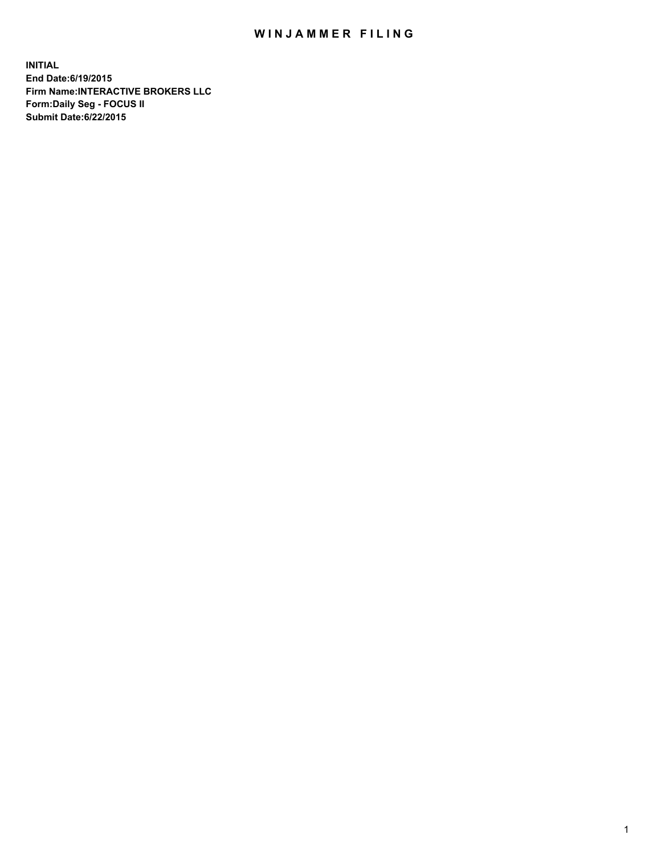## WIN JAMMER FILING

**INITIAL End Date:6/19/2015 Firm Name:INTERACTIVE BROKERS LLC Form:Daily Seg - FOCUS II Submit Date:6/22/2015**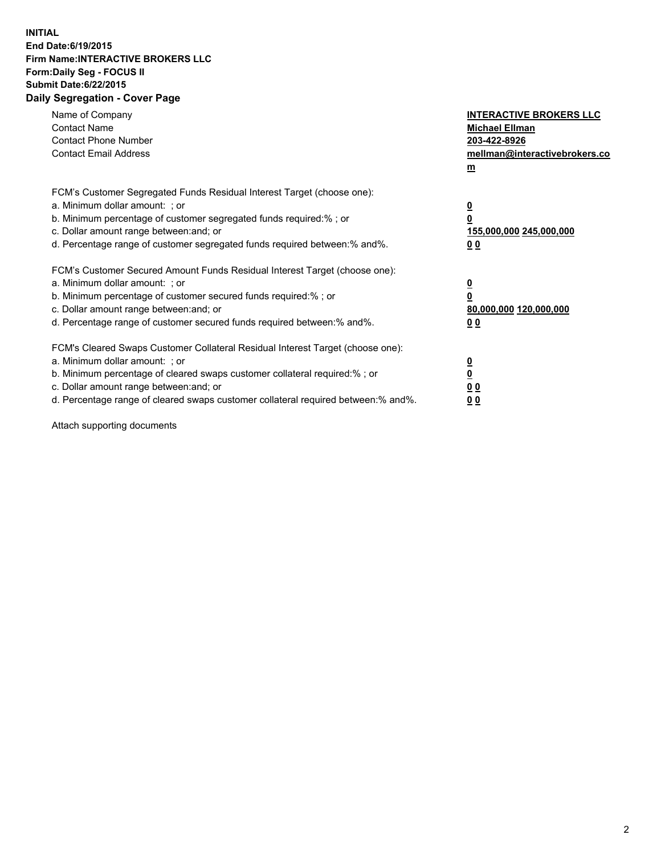## **INITIAL End Date:6/19/2015 Firm Name:INTERACTIVE BROKERS LLC Form:Daily Seg - FOCUS II Submit Date:6/22/2015 Daily Segregation - Cover Page**

| Name of Company<br><b>Contact Name</b><br><b>Contact Phone Number</b><br><b>Contact Email Address</b>                                                                                                                                                                                                                          | <b>INTERACTIVE BROKERS LLC</b><br><b>Michael Ellman</b><br>203-422-8926<br>mellman@interactivebrokers.co<br>$m$ |
|--------------------------------------------------------------------------------------------------------------------------------------------------------------------------------------------------------------------------------------------------------------------------------------------------------------------------------|-----------------------------------------------------------------------------------------------------------------|
| FCM's Customer Segregated Funds Residual Interest Target (choose one):<br>a. Minimum dollar amount: ; or<br>b. Minimum percentage of customer segregated funds required:% ; or<br>c. Dollar amount range between: and; or<br>d. Percentage range of customer segregated funds required between: % and %.                       | $\overline{\mathbf{0}}$<br>0<br>155,000,000 245,000,000<br>00                                                   |
| FCM's Customer Secured Amount Funds Residual Interest Target (choose one):<br>a. Minimum dollar amount: ; or<br>b. Minimum percentage of customer secured funds required:%; or<br>c. Dollar amount range between: and; or<br>d. Percentage range of customer secured funds required between: % and %.                          | $\overline{\mathbf{0}}$<br>0<br>80,000,000 120,000,000<br>0 <sub>0</sub>                                        |
| FCM's Cleared Swaps Customer Collateral Residual Interest Target (choose one):<br>a. Minimum dollar amount: ; or<br>b. Minimum percentage of cleared swaps customer collateral required:% ; or<br>c. Dollar amount range between: and; or<br>d. Percentage range of cleared swaps customer collateral required between:% and%. | $\overline{\mathbf{0}}$<br>$\underline{\mathbf{0}}$<br>0 <sub>0</sub><br>0 <sub>0</sub>                         |

Attach supporting documents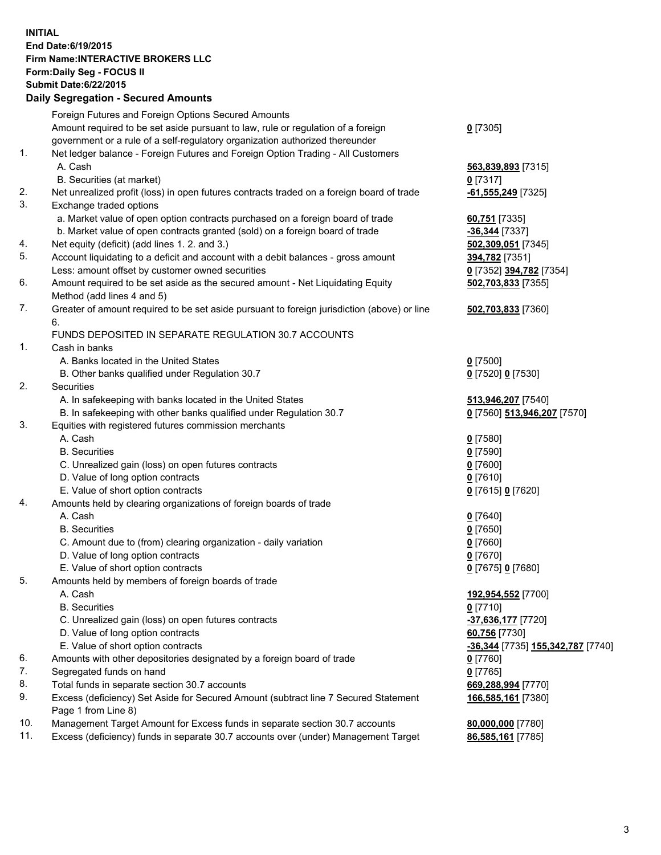## **INITIAL End Date:6/19/2015 Firm Name:INTERACTIVE BROKERS LLC Form:Daily Seg - FOCUS II Submit Date:6/22/2015 Daily Segregation - Secured Amounts**

|                | Daily Jegregation - Jeculed Aniounts                                                        |                                   |
|----------------|---------------------------------------------------------------------------------------------|-----------------------------------|
|                | Foreign Futures and Foreign Options Secured Amounts                                         |                                   |
|                | Amount required to be set aside pursuant to law, rule or regulation of a foreign            | $0$ [7305]                        |
|                | government or a rule of a self-regulatory organization authorized thereunder                |                                   |
| 1.             | Net ledger balance - Foreign Futures and Foreign Option Trading - All Customers             |                                   |
|                | A. Cash                                                                                     | 563,839,893 [7315]                |
|                | B. Securities (at market)                                                                   | $0$ [7317]                        |
| 2.             | Net unrealized profit (loss) in open futures contracts traded on a foreign board of trade   | -61,555,249 [7325]                |
| 3.             | Exchange traded options                                                                     |                                   |
|                | a. Market value of open option contracts purchased on a foreign board of trade              | 60,751 [7335]                     |
|                | b. Market value of open contracts granted (sold) on a foreign board of trade                | -36,344 [7337]                    |
| 4.             | Net equity (deficit) (add lines 1.2. and 3.)                                                | 502,309,051 [7345]                |
| 5.             | Account liquidating to a deficit and account with a debit balances - gross amount           | 394,782 [7351]                    |
|                | Less: amount offset by customer owned securities                                            | 0 [7352] 394,782 [7354]           |
| 6.             | Amount required to be set aside as the secured amount - Net Liquidating Equity              | 502,703,833 [7355]                |
|                | Method (add lines 4 and 5)                                                                  |                                   |
| 7.             | Greater of amount required to be set aside pursuant to foreign jurisdiction (above) or line | 502,703,833 [7360]                |
|                | 6.                                                                                          |                                   |
|                | FUNDS DEPOSITED IN SEPARATE REGULATION 30.7 ACCOUNTS                                        |                                   |
| $\mathbf{1}$ . | Cash in banks                                                                               |                                   |
|                | A. Banks located in the United States                                                       | $0$ [7500]                        |
|                | B. Other banks qualified under Regulation 30.7                                              | 0 [7520] 0 [7530]                 |
| 2.             | Securities                                                                                  |                                   |
|                | A. In safekeeping with banks located in the United States                                   | 513,946,207 [7540]                |
|                | B. In safekeeping with other banks qualified under Regulation 30.7                          | 0 [7560] 513,946,207 [7570]       |
| 3.             | Equities with registered futures commission merchants                                       |                                   |
|                | A. Cash                                                                                     | $0$ [7580]                        |
|                | <b>B.</b> Securities                                                                        | $0$ [7590]                        |
|                | C. Unrealized gain (loss) on open futures contracts                                         | $0$ [7600]                        |
|                | D. Value of long option contracts                                                           | $0$ [7610]                        |
|                | E. Value of short option contracts                                                          | 0 [7615] 0 [7620]                 |
| 4.             | Amounts held by clearing organizations of foreign boards of trade                           |                                   |
|                | A. Cash                                                                                     | $0$ [7640]                        |
|                | <b>B.</b> Securities                                                                        | $0$ [7650]                        |
|                | C. Amount due to (from) clearing organization - daily variation                             | $0$ [7660]                        |
|                | D. Value of long option contracts                                                           | $0$ [7670]                        |
|                | E. Value of short option contracts                                                          | 0 [7675] 0 [7680]                 |
| 5.             | Amounts held by members of foreign boards of trade                                          |                                   |
|                | A. Cash                                                                                     | 192,954,552 [7700]                |
|                | <b>B.</b> Securities                                                                        | $0$ [7710]                        |
|                | C. Unrealized gain (loss) on open futures contracts                                         | -37,636,177 [7720]                |
|                | D. Value of long option contracts                                                           | 60,756 [7730]                     |
|                | E. Value of short option contracts                                                          | -36,344 [7735] 155,342,787 [7740] |
| 6.             | Amounts with other depositories designated by a foreign board of trade                      | $0$ [7760]                        |
| 7.             | Segregated funds on hand                                                                    | $0$ [7765]                        |
| 8.             | Total funds in separate section 30.7 accounts                                               | 669,288,994 [7770]                |
| 9.             | Excess (deficiency) Set Aside for Secured Amount (subtract line 7 Secured Statement         | 166,585,161 [7380]                |
|                | Page 1 from Line 8)                                                                         |                                   |
| 10.            | Management Target Amount for Excess funds in separate section 30.7 accounts                 | 80,000,000 [7780]                 |
| 11.            | Excess (deficiency) funds in separate 30.7 accounts over (under) Management Target          | 86,585,161 [7785]                 |
|                |                                                                                             |                                   |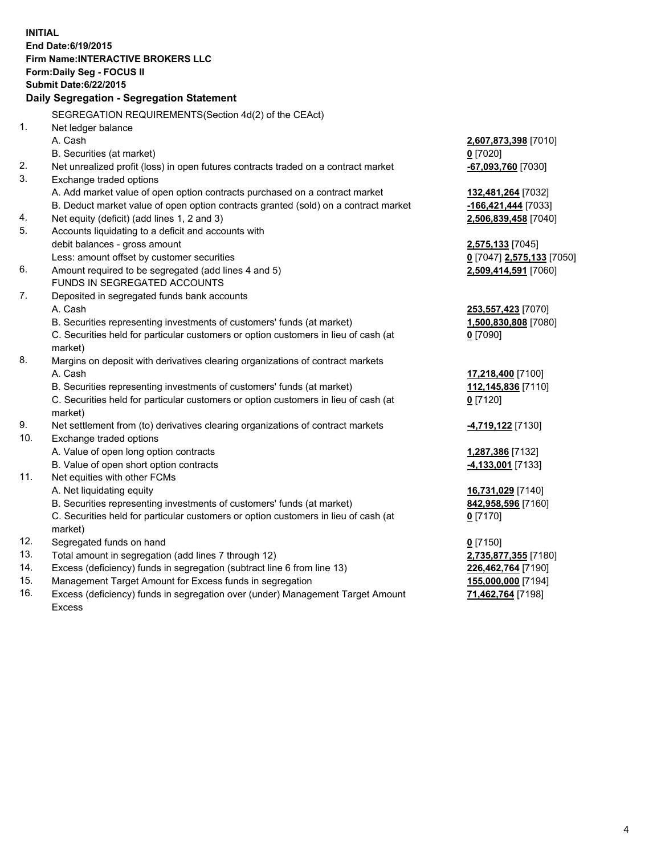**INITIAL End Date:6/19/2015 Firm Name:INTERACTIVE BROKERS LLC Form:Daily Seg - FOCUS II Submit Date:6/22/2015 Daily Segregation - Segregation Statement** SEGREGATION REQUIREMENTS(Section 4d(2) of the CEAct) 1. Net ledger balance A. Cash **2,607,873,398** [7010] B. Securities (at market) **0** [7020] 2. Net unrealized profit (loss) in open futures contracts traded on a contract market **-67,093,760** [7030] 3. Exchange traded options A. Add market value of open option contracts purchased on a contract market **132,481,264** [7032] B. Deduct market value of open option contracts granted (sold) on a contract market **-166,421,444** [7033] 4. Net equity (deficit) (add lines 1, 2 and 3) **2,506,839,458** [7040] 5. Accounts liquidating to a deficit and accounts with debit balances - gross amount **2,575,133** [7045] Less: amount offset by customer securities **0** [7047] **2,575,133** [7050] 6. Amount required to be segregated (add lines 4 and 5) **2,509,414,591** [7060] FUNDS IN SEGREGATED ACCOUNTS 7. Deposited in segregated funds bank accounts A. Cash **253,557,423** [7070] B. Securities representing investments of customers' funds (at market) **1,500,830,808** [7080] C. Securities held for particular customers or option customers in lieu of cash (at market) **0** [7090] 8. Margins on deposit with derivatives clearing organizations of contract markets A. Cash **17,218,400** [7100] B. Securities representing investments of customers' funds (at market) **112,145,836** [7110] C. Securities held for particular customers or option customers in lieu of cash (at market) **0** [7120] 9. Net settlement from (to) derivatives clearing organizations of contract markets **-4,719,122** [7130] 10. Exchange traded options A. Value of open long option contracts **1,287,386** [7132] B. Value of open short option contracts **-4,133,001** [7133] 11. Net equities with other FCMs A. Net liquidating equity **16,731,029** [7140] B. Securities representing investments of customers' funds (at market) **842,958,596** [7160] C. Securities held for particular customers or option customers in lieu of cash (at market) **0** [7170] 12. Segregated funds on hand **0** [7150] 13. Total amount in segregation (add lines 7 through 12) **2,735,877,355** [7180] 14. Excess (deficiency) funds in segregation (subtract line 6 from line 13) **226,462,764** [7190] 15. Management Target Amount for Excess funds in segregation **155,000,000** [7194]

16. Excess (deficiency) funds in segregation over (under) Management Target Amount Excess

**71,462,764** [7198]